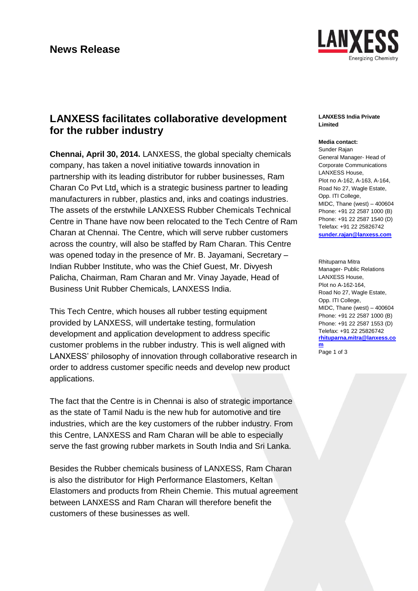

# **LANXESS facilitates collaborative development for the rubber industry**

**Chennai, April 30, 2014.** LANXESS, the global specialty chemicals company, has taken a novel initiative towards innovation in partnership with its leading distributor for rubber businesses, Ram Charan Co Pvt Ltd, which is a strategic business partner to leading manufacturers in rubber, plastics and, inks and coatings industries. The assets of the erstwhile LANXESS Rubber Chemicals Technical Centre in Thane have now been relocated to the Tech Centre of Ram Charan at Chennai. The Centre, which will serve rubber customers across the country, will also be staffed by Ram Charan. This Centre was opened today in the presence of Mr. B. Jayamani, Secretary – Indian Rubber Institute, who was the Chief Guest, Mr. Divyesh Palicha, Chairman, Ram Charan and Mr. Vinay Jayade, Head of Business Unit Rubber Chemicals, LANXESS India.

This Tech Centre, which houses all rubber testing equipment provided by LANXESS, will undertake testing, formulation development and application development to address specific customer problems in the rubber industry. This is well aligned with LANXESS' philosophy of innovation through collaborative research in order to address customer specific needs and develop new product applications.

The fact that the Centre is in Chennai is also of strategic importance as the state of Tamil Nadu is the new hub for automotive and tire industries, which are the key customers of the rubber industry. From this Centre, LANXESS and Ram Charan will be able to especially serve the fast growing rubber markets in South India and Sri Lanka.

Besides the Rubber chemicals business of LANXESS, Ram Charan is also the distributor for High Performance Elastomers, Keltan Elastomers and products from Rhein Chemie. This mutual agreement between LANXESS and Ram Charan will therefore benefit the customers of these businesses as well.

## **LANXESS India Private Limited**

## **Media contact:**

Sunder Rajan General Manager- Head of Corporate Communications LANXESS House, Plot no A-162, A-163, A-164, Road No 27, Wagle Estate, Opp. ITI College, MIDC, Thane (west) – 400604 Phone: +91 22 2587 1000 (B) Phone: +91 22 2587 1540 (D) Telefax: +91 22 25826742 **[sunder.rajan@lanxess.com](mailto:sunder.rajan@lanxess.com)**

Rhituparna Mitra Manager- Public Relations LANXESS House, Plot no A-162-164, Road No 27, Wagle Estate, Opp. ITI College, MIDC, Thane (west) – 400604 Phone: +91 22 2587 1000 (B) Phone: +91 22 2587 1553 (D) Telefax: +91 22 25826742 **[rhituparna.mitra@lanxess.co](mailto:sunder.rajan@lanxess.com) [m](mailto:sunder.rajan@lanxess.com)** Page 1 of 3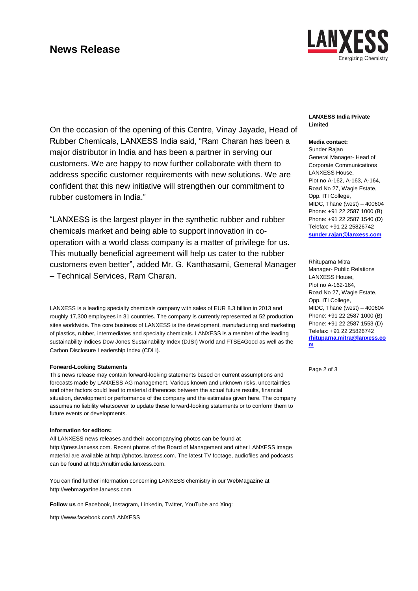## **News Release**



On the occasion of the opening of this Centre, Vinay Jayade, Head of Rubber Chemicals, LANXESS India said, "Ram Charan has been a major distributor in India and has been a partner in serving our customers. We are happy to now further collaborate with them to address specific customer requirements with new solutions. We are confident that this new initiative will strengthen our commitment to rubber customers in India."

"LANXESS is the largest player in the synthetic rubber and rubber chemicals market and being able to support innovation in cooperation with a world class company is a matter of privilege for us. This mutually beneficial agreement will help us cater to the rubber customers even better", added Mr. G. Kanthasami, General Manager – Technical Services, Ram Charan.

LANXESS is a leading specialty chemicals company with sales of EUR 8.3 billion in 2013 and roughly 17,300 employees in 31 countries. The company is currently represented at 52 production sites worldwide. The core business of LANXESS is the development, manufacturing and marketing of plastics, rubber, intermediates and specialty chemicals. LANXESS is a member of the leading sustainability indices Dow Jones Sustainability Index (DJSI) World and FTSE4Good as well as the Carbon Disclosure Leadership Index (CDLI).

### **Forward-Looking Statements**

This news release may contain forward-looking statements based on current assumptions and forecasts made by LANXESS AG management. Various known and unknown risks, uncertainties and other factors could lead to material differences between the actual future results, financial situation, development or performance of the company and the estimates given here. The company assumes no liability whatsoever to update these forward-looking statements or to conform them to future events or developments.

#### **Information for editors:**

All LANXESS news releases and their accompanying photos can be found at [http://press.lanxess.com.](http://press.lanxess.com/) Recent photos of the Board of Management and other LANXESS image material are available at [http://photos.lanxess.com.](http://photos.lanxess.com/) The latest TV footage, audiofiles and podcasts can be found a[t http://multimedia.lanxess.com.](http://multimedia.lanxess.com/)

You can find further information concerning LANXESS chemistry in our WebMagazine at [http://webmagazine.lanxess.com.](http://webmagazine.lanxess.com/)

**Follow us** on Facebook, Instagram, Linkedin, Twitter, YouTube and Xing:

<http://www.facebook.com/LANXESS>

## **LANXESS India Private Limited**

## **Media contact:**

Sunder Rajan General Manager- Head of Corporate Communications LANXESS House, Plot no A-162, A-163, A-164, Road No 27, Wagle Estate, Opp. ITI College, MIDC, Thane (west) – 400604 Phone: +91 22 2587 1000 (B) Phone: +91 22 2587 1540 (D) Telefax: +91 22 25826742 **[sunder.rajan@lanxess.com](mailto:sunder.rajan@lanxess.com)**

Rhituparna Mitra Manager- Public Relations LANXESS House, Plot no A-162-164, Road No 27, Wagle Estate, Opp. ITI College, MIDC, Thane (west) – 400604 Phone: +91 22 2587 1000 (B) Phone: +91 22 2587 1553 (D) Telefax: +91 22 25826742 **[rhituparna.mitra@lanxess.co](mailto:sunder.rajan@lanxess.com) [m](mailto:sunder.rajan@lanxess.com)**

Page 2 of 3